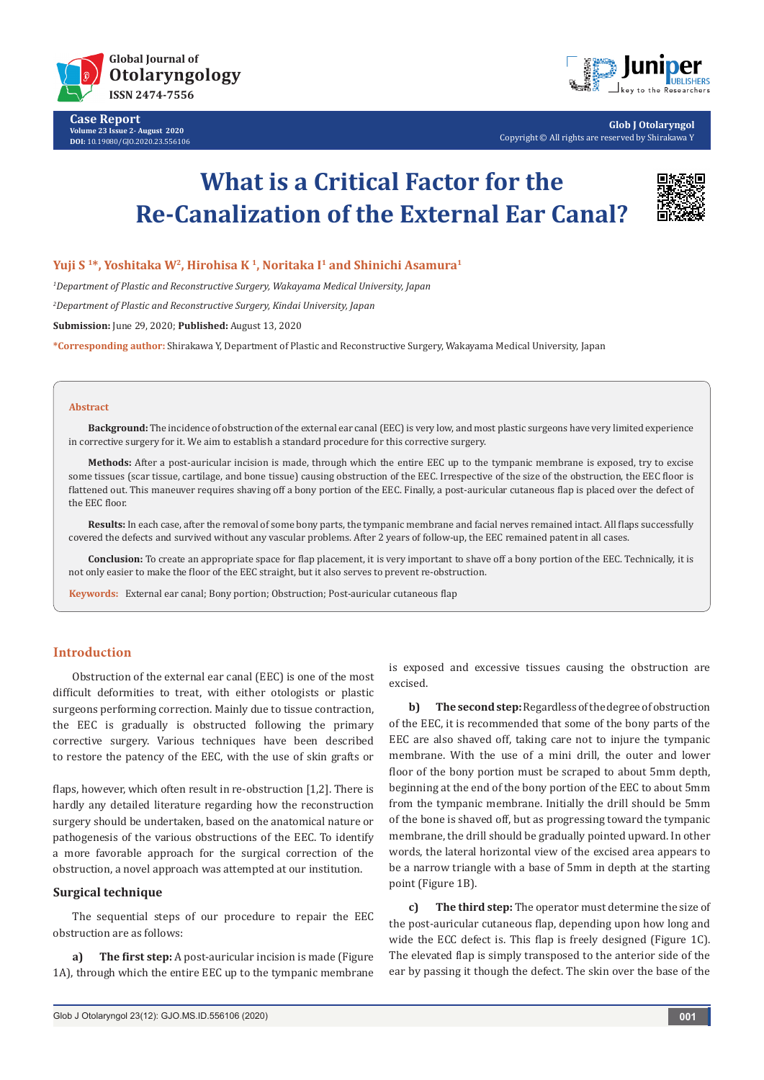

**Case Report Volume 23 Issue 2- August 2020 DOI:** [10.19080/GJO.2020.23.556](http://dx.doi.org/10.19080/GJO.2020.23.556106)106



**Glob J Otolaryngol** Copyright © All rights are reserved by Shirakawa Y

# **What is a Critical Factor for the Re-Canalization of the External Ear Canal?**



**Yuji S 1\*, Yoshitaka W2, Hirohisa K 1, Noritaka I1 and Shinichi Asamura1**

*1 Department of Plastic and Reconstructive Surgery, Wakayama Medical University, Japan*

*2 Department of Plastic and Reconstructive Surgery, Kindai University, Japan*

**Submission:** June 29, 2020; **Published:** August 13, 2020

**\*Corresponding author:** Shirakawa Y, Department of Plastic and Reconstructive Surgery, Wakayama Medical University, Japan

#### **Abstract**

**Background:** The incidence of obstruction of the external ear canal (EEC) is very low, and most plastic surgeons have very limited experience in corrective surgery for it. We aim to establish a standard procedure for this corrective surgery.

**Methods:** After a post-auricular incision is made, through which the entire EEC up to the tympanic membrane is exposed, try to excise some tissues (scar tissue, cartilage, and bone tissue) causing obstruction of the EEC. Irrespective of the size of the obstruction, the EEC floor is flattened out. This maneuver requires shaving off a bony portion of the EEC. Finally, a post-auricular cutaneous flap is placed over the defect of the EEC floor.

**Results:** In each case, after the removal of some bony parts, the tympanic membrane and facial nerves remained intact. All flaps successfully covered the defects and survived without any vascular problems. After 2 years of follow-up, the EEC remained patent in all cases.

**Conclusion:** To create an appropriate space for flap placement, it is very important to shave off a bony portion of the EEC. Technically, it is not only easier to make the floor of the EEC straight, but it also serves to prevent re-obstruction.

**Keywords:** External ear canal; Bony portion; Obstruction; Post-auricular cutaneous flap

## **Introduction**

Obstruction of the external ear canal (EEC) is one of the most difficult deformities to treat, with either otologists or plastic surgeons performing correction. Mainly due to tissue contraction, the EEC is gradually is obstructed following the primary corrective surgery. Various techniques have been described to restore the patency of the EEC, with the use of skin grafts or

flaps, however, which often result in re-obstruction [1,2]. There is hardly any detailed literature regarding how the reconstruction surgery should be undertaken, based on the anatomical nature or pathogenesis of the various obstructions of the EEC. To identify a more favorable approach for the surgical correction of the obstruction, a novel approach was attempted at our institution.

### **Surgical technique**

The sequential steps of our procedure to repair the EEC obstruction are as follows:

**a) The first step:** A post-auricular incision is made (Figure 1A), through which the entire EEC up to the tympanic membrane

is exposed and excessive tissues causing the obstruction are excised.

**b) The second step:** Regardless of the degree of obstruction of the EEC, it is recommended that some of the bony parts of the EEC are also shaved off, taking care not to injure the tympanic membrane. With the use of a mini drill, the outer and lower floor of the bony portion must be scraped to about 5mm depth, beginning at the end of the bony portion of the EEC to about 5mm from the tympanic membrane. Initially the drill should be 5mm of the bone is shaved off, but as progressing toward the tympanic membrane, the drill should be gradually pointed upward. In other words, the lateral horizontal view of the excised area appears to be a narrow triangle with a base of 5mm in depth at the starting point (Figure 1B).

**c) The third step:** The operator must determine the size of the post-auricular cutaneous flap, depending upon how long and wide the ECC defect is. This flap is freely designed (Figure 1C). The elevated flap is simply transposed to the anterior side of the ear by passing it though the defect. The skin over the base of the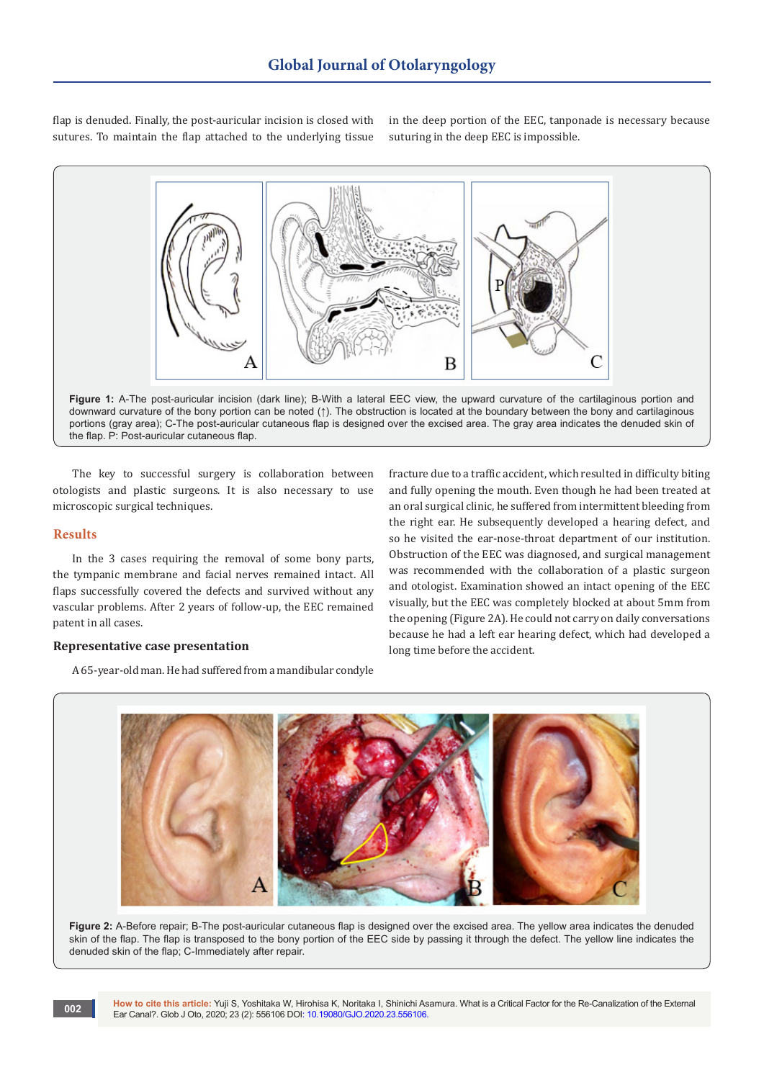flap is denuded. Finally, the post-auricular incision is closed with sutures. To maintain the flap attached to the underlying tissue in the deep portion of the EEC, tanponade is necessary because suturing in the deep EEC is impossible.



**Figure 1:** A-The post-auricular incision (dark line); B-With a lateral EEC view, the upward curvature of the cartilaginous portion and downward curvature of the bony portion can be noted (↑). The obstruction is located at the boundary between the bony and cartilaginous portions (gray area); C-The post-auricular cutaneous flap is designed over the excised area. The gray area indicates the denuded skin of the flap. P: Post-auricular cutaneous flap.

The key to successful surgery is collaboration between otologists and plastic surgeons. It is also necessary to use microscopic surgical techniques.

### **Results**

In the 3 cases requiring the removal of some bony parts, the tympanic membrane and facial nerves remained intact. All flaps successfully covered the defects and survived without any vascular problems. After 2 years of follow-up, the EEC remained patent in all cases.

### **Representative case presentation**

A 65-year-old man. He had suffered from a mandibular condyle

fracture due to a traffic accident, which resulted in difficulty biting and fully opening the mouth. Even though he had been treated at an oral surgical clinic, he suffered from intermittent bleeding from the right ear. He subsequently developed a hearing defect, and so he visited the ear-nose-throat department of our institution. Obstruction of the EEC was diagnosed, and surgical management was recommended with the collaboration of a plastic surgeon and otologist. Examination showed an intact opening of the EEC visually, but the EEC was completely blocked at about 5mm from the opening (Figure 2A). He could not carry on daily conversations because he had a left ear hearing defect, which had developed a long time before the accident.



Figure 2: A-Before repair; B-The post-auricular cutaneous flap is designed over the excised area. The yellow area indicates the denuded skin of the flap. The flap is transposed to the bony portion of the EEC side by passing it through the defect. The yellow line indicates the denuded skin of the flap; C-Immediately after repair.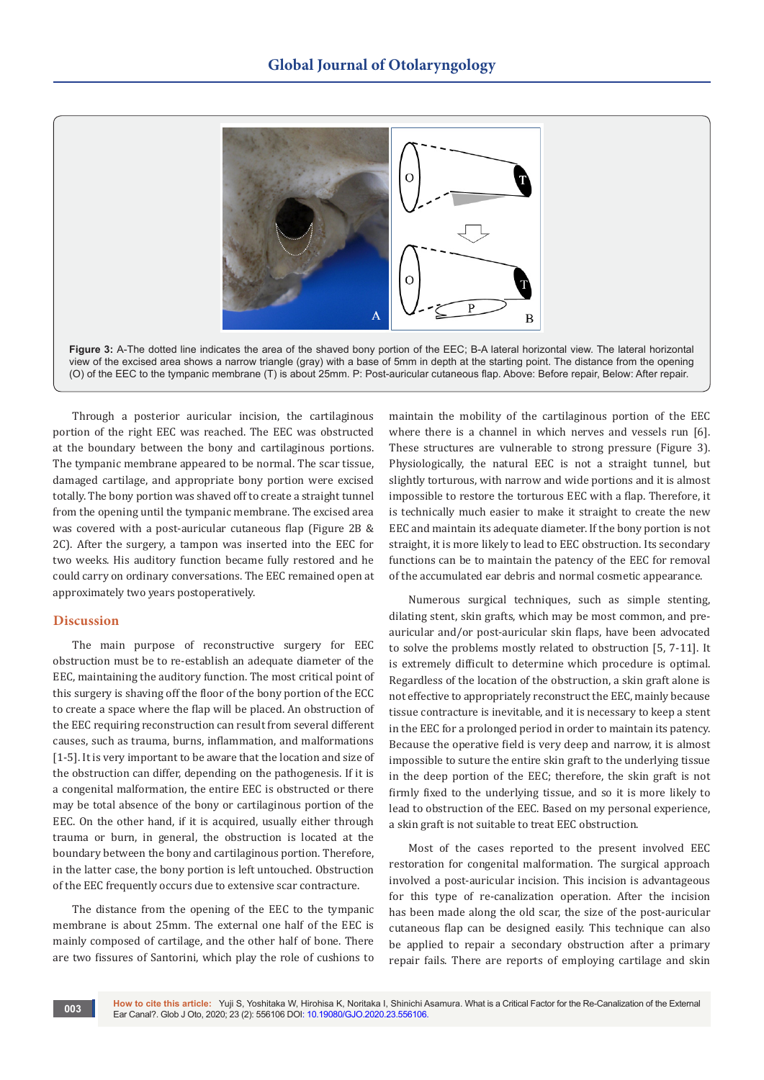



Through a posterior auricular incision, the cartilaginous portion of the right EEC was reached. The EEC was obstructed at the boundary between the bony and cartilaginous portions. The tympanic membrane appeared to be normal. The scar tissue, damaged cartilage, and appropriate bony portion were excised totally. The bony portion was shaved off to create a straight tunnel from the opening until the tympanic membrane. The excised area was covered with a post-auricular cutaneous flap (Figure 2B & 2C). After the surgery, a tampon was inserted into the EEC for two weeks. His auditory function became fully restored and he could carry on ordinary conversations. The EEC remained open at approximately two years postoperatively.

## **Discussion**

The main purpose of reconstructive surgery for EEC obstruction must be to re-establish an adequate diameter of the EEC, maintaining the auditory function. The most critical point of this surgery is shaving off the floor of the bony portion of the ECC to create a space where the flap will be placed. An obstruction of the EEC requiring reconstruction can result from several different causes, such as trauma, burns, inflammation, and malformations [1-5]. It is very important to be aware that the location and size of the obstruction can differ, depending on the pathogenesis. If it is a congenital malformation, the entire EEC is obstructed or there may be total absence of the bony or cartilaginous portion of the EEC. On the other hand, if it is acquired, usually either through trauma or burn, in general, the obstruction is located at the boundary between the bony and cartilaginous portion. Therefore, in the latter case, the bony portion is left untouched. Obstruction of the EEC frequently occurs due to extensive scar contracture.

The distance from the opening of the EEC to the tympanic membrane is about 25mm. The external one half of the EEC is mainly composed of cartilage, and the other half of bone. There are two fissures of Santorini, which play the role of cushions to

maintain the mobility of the cartilaginous portion of the EEC where there is a channel in which nerves and vessels run [6]. These structures are vulnerable to strong pressure (Figure 3). Physiologically, the natural EEC is not a straight tunnel, but slightly torturous, with narrow and wide portions and it is almost impossible to restore the torturous EEC with a flap. Therefore, it is technically much easier to make it straight to create the new EEC and maintain its adequate diameter. If the bony portion is not straight, it is more likely to lead to EEC obstruction. Its secondary functions can be to maintain the patency of the EEC for removal of the accumulated ear debris and normal cosmetic appearance.

Numerous surgical techniques, such as simple stenting, dilating stent, skin grafts, which may be most common, and preauricular and/or post-auricular skin flaps, have been advocated to solve the problems mostly related to obstruction [5, 7-11]. It is extremely difficult to determine which procedure is optimal. Regardless of the location of the obstruction, a skin graft alone is not effective to appropriately reconstruct the EEC, mainly because tissue contracture is inevitable, and it is necessary to keep a stent in the EEC for a prolonged period in order to maintain its patency. Because the operative field is very deep and narrow, it is almost impossible to suture the entire skin graft to the underlying tissue in the deep portion of the EEC; therefore, the skin graft is not firmly fixed to the underlying tissue, and so it is more likely to lead to obstruction of the EEC. Based on my personal experience, a skin graft is not suitable to treat EEC obstruction.

Most of the cases reported to the present involved EEC restoration for congenital malformation. The surgical approach involved a post-auricular incision. This incision is advantageous for this type of re-canalization operation. After the incision has been made along the old scar, the size of the post-auricular cutaneous flap can be designed easily. This technique can also be applied to repair a secondary obstruction after a primary repair fails. There are reports of employing cartilage and skin